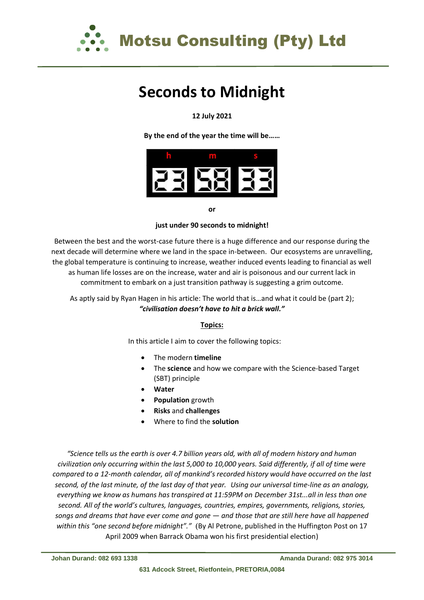

## **Seconds to Midnight**

#### **12 July 2021**

**By the end of the year the time will be……**



**or** 

#### **just under 90 seconds to midnight!**

Between the best and the worst-case future there is a huge difference and our response during the next decade will determine where we land in the space in-between. Our ecosystems are unravelling, the global temperature is continuing to increase, weather induced events leading to financial as well as human life losses are on the increase, water and air is poisonous and our current lack in commitment to embark on a just transition pathway is suggesting a grim outcome.

#### As aptly said by Ryan Hagen in his article: The world that is…and what it could be (part 2); *"civilisation doesn't have to hit a brick wall."*

#### **Topics:**

In this article I aim to cover the following topics:

- The modern **timeline**
- The **science** and how we compare with the Science-based Target (SBT) principle
- **Water**
- **Population** growth
- **Risks** and **challenges**
- Where to find the **solution**

*"Science tells us the earth is over 4.7 billion years old, with all of modern history and human civilization only occurring within the last 5,000 to 10,000 years. Said differently, if all of time were compared to a 12-month calendar, all of mankind's recorded history would have occurred on the last second, of the last minute, of the last day of that year. Using our universal time-line as an analogy, everything we know as humans has transpired at 11:59PM on December 31st...all in less than one second. All of the world's cultures, languages, countries, empires, governments, religions, stories, songs and dreams that have ever come and gone — and those that are still here have all happened within this "one second before midnight"."* (By Al Petrone, published in the Huffington Post on 17 April 2009 when Barrack Obama won his first presidential election)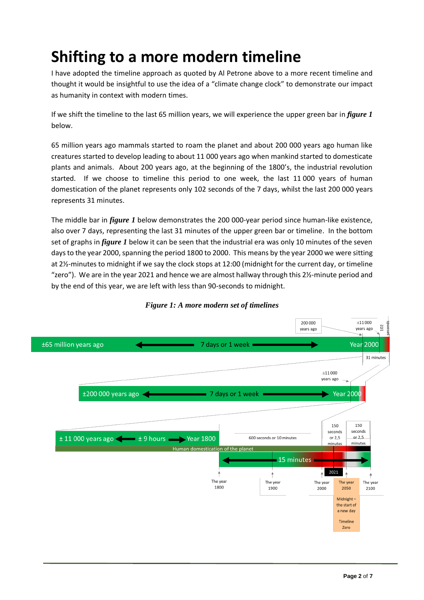# **Shifting to a more modern timeline**

I have adopted the timeline approach as quoted by Al Petrone above to a more recent timeline and thought it would be insightful to use the idea of a "climate change clock" to demonstrate our impact as humanity in context with modern times.

If we shift the timeline to the last 65 million years, we will experience the upper green bar in *figure 1* below.

65 million years ago mammals started to roam the planet and about 200 000 years ago human like creatures started to develop leading to about 11 000 years ago when mankind started to domesticate plants and animals. About 200 years ago, at the beginning of the 1800's, the industrial revolution started. If we choose to timeline this period to one week, the last 11 000 years of human domestication of the planet represents only 102 seconds of the 7 days, whilst the last 200 000 years represents 31 minutes.

The middle bar in *figure 1* below demonstrates the 200 000-year period since human-like existence, also over 7 days, representing the last 31 minutes of the upper green bar or timeline. In the bottom set of graphs in *figure 1* below it can be seen that the industrial era was only 10 minutes of the seven days to the year 2000, spanning the period 1800 to 2000. This means by the year 2000 we were sitting at 2½-minutes to midnight if we say the clock stops at 12:00 (midnight for the current day, or timeline "zero"). We are in the year 2021 and hence we are almost hallway through this 2½-minute period and by the end of this year, we are left with less than 90-seconds to midnight.



#### *Figure 1: A more modern set of timelines*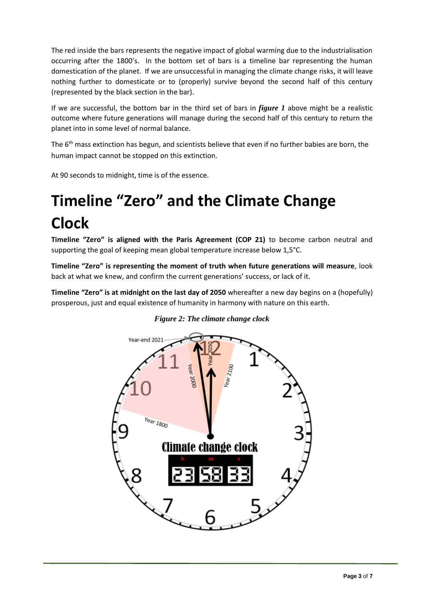The red inside the bars represents the negative impact of global warming due to the industrialisation occurring after the 1800's. In the bottom set of bars is a timeline bar representing the human domestication of the planet. If we are unsuccessful in managing the climate change risks, it will leave nothing further to domesticate or to (properly) survive beyond the second half of this century (represented by the black section in the bar).

If we are successful, the bottom bar in the third set of bars in *figure 1* above might be a realistic outcome where future generations will manage during the second half of this century to return the planet into in some level of normal balance.

The 6<sup>th</sup> mass extinction has begun, and scientists believe that even if no further babies are born, the human impact cannot be stopped on this extinction.

At 90 seconds to midnight, time is of the essence.

# **Timeline "Zero" and the Climate Change Clock**

**Timeline "Zero" is aligned with the Paris Agreement (COP 21)** to become carbon neutral and supporting the goal of keeping mean global temperature increase below 1,5°C.

**Timeline "Zero" is representing the moment of truth when future generations will measure**, look back at what we knew, and confirm the current generations' success, or lack of it.

**Timeline "Zero" is at midnight on the last day of 2050** whereafter a new day begins on a (hopefully) prosperous, just and equal existence of humanity in harmony with nature on this earth.



*Figure 2: The climate change clock*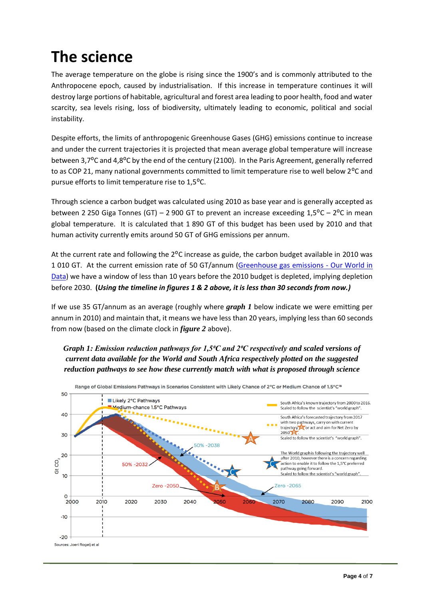### **The science**

The average temperature on the globe is rising since the 1900's and is commonly attributed to the Anthropocene epoch, caused by industrialisation. If this increase in temperature continues it will destroy large portions of habitable, agricultural and forest area leading to poor health, food and water scarcity, sea levels rising, loss of biodiversity, ultimately leading to economic, political and social instability.

Despite efforts, the limits of anthropogenic Greenhouse Gases (GHG) emissions continue to increase and under the current trajectories it is projected that mean average global temperature will increase between 3,7<sup>o</sup>C and 4,8<sup>o</sup>C by the end of the century (2100). In the Paris Agreement, generally referred to as COP 21, many national governments committed to limit temperature rise to well below 2<sup>o</sup>C and pursue efforts to limit temperature rise to 1,5<sup>o</sup>C.

Through science a carbon budget was calculated using 2010 as base year and is generally accepted as between 2 250 Giga Tonnes (GT) – 2 900 GT to prevent an increase exceeding  $1.5^{\circ}$ C – 2<sup>o</sup>C in mean global temperature. It is calculated that 1 890 GT of this budget has been used by 2010 and that human activity currently emits around 50 GT of GHG emissions per annum.

At the current rate and following the  $2^{\circ}$ C increase as guide, the carbon budget available in 2010 was 1 010 GT. At the current emission rate of 50 GT/annum [\(Greenhouse gas emissions -](https://ourworldindata.org/greenhouse-gas-emissions) Our World in [Data\)](https://ourworldindata.org/greenhouse-gas-emissions) we have a window of less than 10 years before the 2010 budget is depleted, implying depletion before 2030. **(***Using the timeline in figures 1 & 2 above, it is less than 30 seconds from now.)*

If we use 35 GT/annum as an average (roughly where *graph 1* below indicate we were emitting per annum in 2010) and maintain that, it means we have less than 20 years, implying less than 60 seconds from now (based on the climate clock in *figure 2* above).

### *Graph 1: Emission reduction pathways for 1,5⁰C and 2⁰C respectively and scaled versions of current data available for the World and South Africa respectively plotted on the suggested reduction pathways to see how these currently match with what is proposed through science*

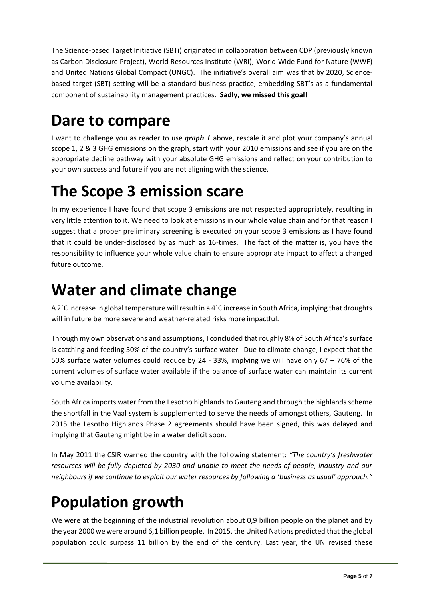The Science-based Target Initiative (SBTi) originated in collaboration between CDP (previously known as Carbon Disclosure Project), World Resources Institute (WRI), World Wide Fund for Nature (WWF) and United Nations Global Compact (UNGC). The initiative's overall aim was that by 2020, Sciencebased target (SBT) setting will be a standard business practice, embedding SBT's as a fundamental component of sustainability management practices. **Sadly, we missed this goal!**

### **Dare to compare**

I want to challenge you as reader to use *graph 1* above, rescale it and plot your company's annual scope 1, 2 & 3 GHG emissions on the graph, start with your 2010 emissions and see if you are on the appropriate decline pathway with your absolute GHG emissions and reflect on your contribution to your own success and future if you are not aligning with the science.

### **The Scope 3 emission scare**

In my experience I have found that scope 3 emissions are not respected appropriately, resulting in very little attention to it. We need to look at emissions in our whole value chain and for that reason I suggest that a proper preliminary screening is executed on your scope 3 emissions as I have found that it could be under-disclosed by as much as 16-times. The fact of the matter is, you have the responsibility to influence your whole value chain to ensure appropriate impact to affect a changed future outcome.

### **Water and climate change**

A 2°C increase in global temperature will result in a 4°C increase in South Africa, implying that droughts will in future be more severe and weather-related risks more impactful.

Through my own observations and assumptions, I concluded that roughly 8% of South Africa's surface is catching and feeding 50% of the country's surface water. Due to climate change, I expect that the 50% surface water volumes could reduce by 24 - 33%, implying we will have only 67 – 76% of the current volumes of surface water available if the balance of surface water can maintain its current volume availability.

South Africa imports water from the Lesotho highlands to Gauteng and through the highlands scheme the shortfall in the Vaal system is supplemented to serve the needs of amongst others, Gauteng. In 2015 the Lesotho Highlands Phase 2 agreements should have been signed, this was delayed and implying that Gauteng might be in a water deficit soon.

In May 2011 the CSIR warned the country with the following statement: *"The country's freshwater resources will be fully depleted by 2030 and unable to meet the needs of people, industry and our neighbours if we continue to exploit our water resources by following a 'business as usual' approach."*

# **Population growth**

We were at the beginning of the industrial revolution about 0,9 billion people on the planet and by the year 2000 we were around 6,1 billion people. In 2015, the United Nations predicted that the global population could surpass 11 billion by the end of the century. Last year, the UN revised these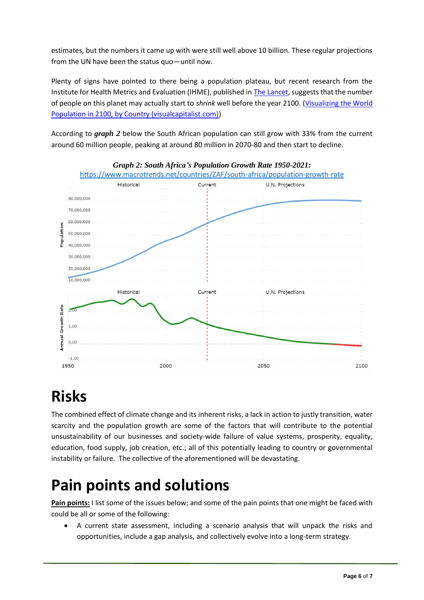estimates, but the numbers it came up with were still well above 10 billion. These regular projections from the UN have been the status quo—until now.

Plenty of signs have pointed to there being a population plateau, but recent research from the Institute for Health Metrics and Evaluation (IHME), published in The [Lancet,](https://www.thelancet.com/journals/lancet/article/PIIS0140-6736(20)30677-2/fulltext) suggests that the number of people on this planet may actually start to *shrink* well before the year 2100. [\(Visualizing the World](https://www.visualcapitalist.com/world-population-2100-country/)  [Population in 2100, by Country \(visualcapitalist.com\)\)](https://www.visualcapitalist.com/world-population-2100-country/)

According to *graph 2* below the South African population can still grow with 33% from the current around 60 million people, peaking at around 80 million in 2070-80 and then start to decline.



**Risks**

The combined effect of climate change and its inherent risks, a lack in action to justly transition, water scarcity and the population growth are some of the factors that will contribute to the potential unsustainability of our businesses and society-wide failure of value systems, prosperity, equality, education, food supply, job creation, etc.; all of this potentially leading to country or governmental instability or failure. The collective of the aforementioned will be devastating.

### **Pain points and solutions**

**Pain points:** I list some of the issues below; and some of the pain points that one might be faced with could be all or some of the following:

• A current state assessment, including a scenario analysis that will unpack the risks and opportunities, include a gap analysis, and collectively evolve into a long-term strategy.